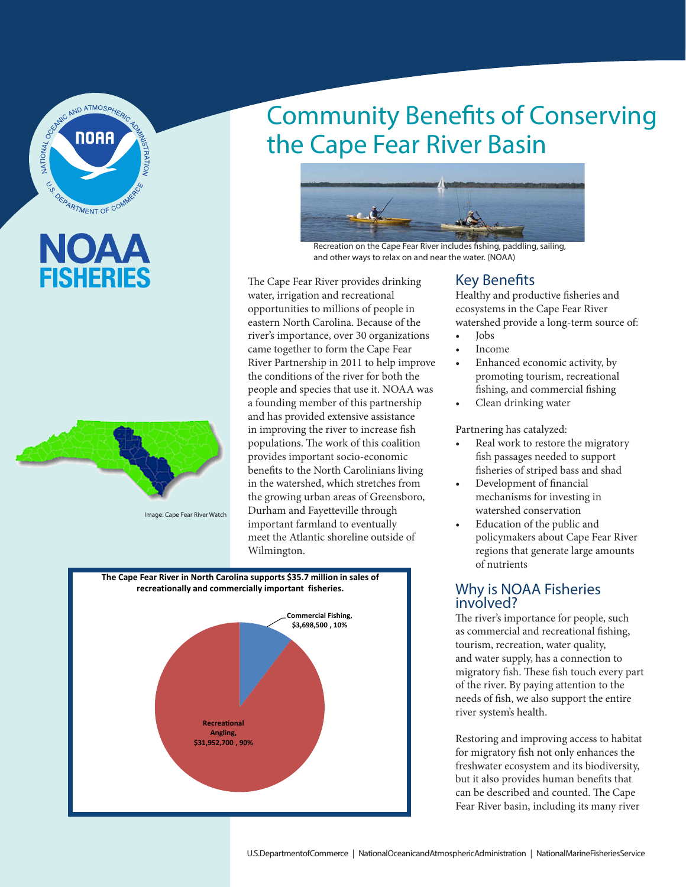

# NOA **FISHERIES**



Image: Cape Fear River Watch

## Community Benefits of Conserving the Cape Fear River Basin



Recreation on the Cape Fear River includes fishing, paddling, sailing, and other ways to relax on and near the water. (NOAA)

The Cape Fear River provides drinking water, irrigation and recreational opportunities to millions of people in eastern North Carolina. Because of the river's importance, over 30 organizations came together to form the Cape Fear River Partnership in 2011 to help improve the conditions of the river for both the people and species that use it. NOAA was a founding member of this partnership and has provided extensive assistance in improving the river to increase fish populations. The work of this coalition provides important socio-economic benefits to the North Carolinians living in the watershed, which stretches from the growing urban areas of Greensboro, Durham and Fayetteville through important farmland to eventually meet the Atlantic shoreline outside of Wilmington.



#### Key Benefits

Healthy and productive fisheries and ecosystems in the Cape Fear River watershed provide a long-term source of:

- Jobs • Income
- Enhanced economic activity, by promoting tourism, recreational fishing, and commercial fishing
- Clean drinking water

Partnering has catalyzed:

- Real work to restore the migratory fish passages needed to support fisheries of striped bass and shad
- Development of financial mechanisms for investing in watershed conservation
- Education of the public and policymakers about Cape Fear River regions that generate large amounts of nutrients

### Why is NOAA Fisheries involved?

The river's importance for people, such as commercial and recreational fishing, tourism, recreation, water quality, and water supply, has a connection to migratory fish. These fish touch every part of the river. By paying attention to the needs of fish, we also support the entire river system's health.

Restoring and improving access to habitat for migratory fish not only enhances the freshwater ecosystem and its biodiversity, but it also provides human benefits that can be described and counted. The Cape Fear River basin, including its many river